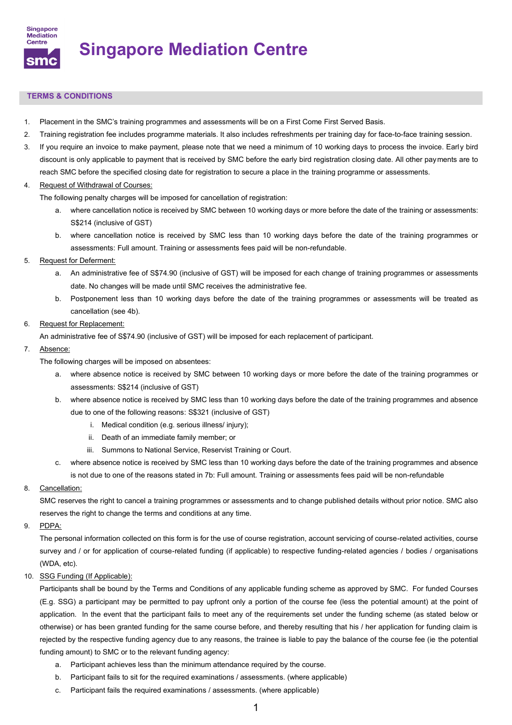

# **Singapore Mediation Centre**

# **TERMS & CONDITIONS**

- 1. Placement in the SMC's training programmes and assessments will be on a First Come First Served Basis.
- 2. Training registration fee includes programme materials. It also includes refreshments per training day for face-to-face training session.
- 3. If you require an invoice to make payment, please note that we need a minimum of 10 working days to process the invoice. Early bird discount is only applicable to payment that is received by SMC before the early bird registration closing date. All other payments are to reach SMC before the specified closing date for registration to secure a place in the training programme or assessments.

#### 4. Request of Withdrawal of Courses:

The following penalty charges will be imposed for cancellation of registration:

- a. where cancellation notice is received by SMC between 10 working days or more before the date of the training or assessments: S\$214 (inclusive of GST)
- b. where cancellation notice is received by SMC less than 10 working days before the date of the training programmes or assessments: Full amount. Training or assessments fees paid will be non-refundable.

#### 5. Request for Deferment:

- a. An administrative fee of S\$74.90 (inclusive of GST) will be imposed for each change of training programmes or assessments date. No changes will be made until SMC receives the administrative fee.
- b. Postponement less than 10 working days before the date of the training programmes or assessments will be treated as cancellation (see 4b).

#### 6. Request for Replacement:

An administrative fee of S\$74.90 (inclusive of GST) will be imposed for each replacement of participant.

#### 7. Absence:

The following charges will be imposed on absentees:

- a. where absence notice is received by SMC between 10 working days or more before the date of the training programmes or assessments: S\$214 (inclusive of GST)
- b. where absence notice is received by SMC less than 10 working days before the date of the training programmes and absence due to one of the following reasons: S\$321 (inclusive of GST)
	- i. Medical condition (e.g. serious illness/ injury);
	- ii. Death of an immediate family member; or
	- iii. Summons to National Service, Reservist Training or Court.
- c. where absence notice is received by SMC less than 10 working days before the date of the training programmes and absence is not due to one of the reasons stated in 7b: Full amount. Training or assessments fees paid will be non-refundable

# 8. Cancellation:

SMC reserves the right to cancel a training programmes or assessments and to change published details without prior notice. SMC also reserves the right to change the terms and conditions at any time.

# 9. PDPA:

The personal information collected on this form is for the use of course registration, account servicing of course-related activities, course survey and / or for application of course-related funding (if applicable) to respective funding-related agencies / bodies / organisations (WDA, etc).

# 10. SSG Funding (If Applicable):

Participants shall be bound by the Terms and Conditions of any applicable funding scheme as approved by SMC. For funded Courses (E.g. SSG) a participant may be permitted to pay upfront only a portion of the course fee (less the potential amount) at the point of application. In the event that the participant fails to meet any of the requirements set under the funding scheme (as stated below or otherwise) or has been granted funding for the same course before, and thereby resulting that his / her application for funding claim is rejected by the respective funding agency due to any reasons, the trainee is liable to pay the balance of the course fee (ie the potential funding amount) to SMC or to the relevant funding agency:

- a. Participant achieves less than the minimum attendance required by the course.
- b. Participant fails to sit for the required examinations / assessments. (where applicable)
- c. Participant fails the required examinations / assessments. (where applicable)